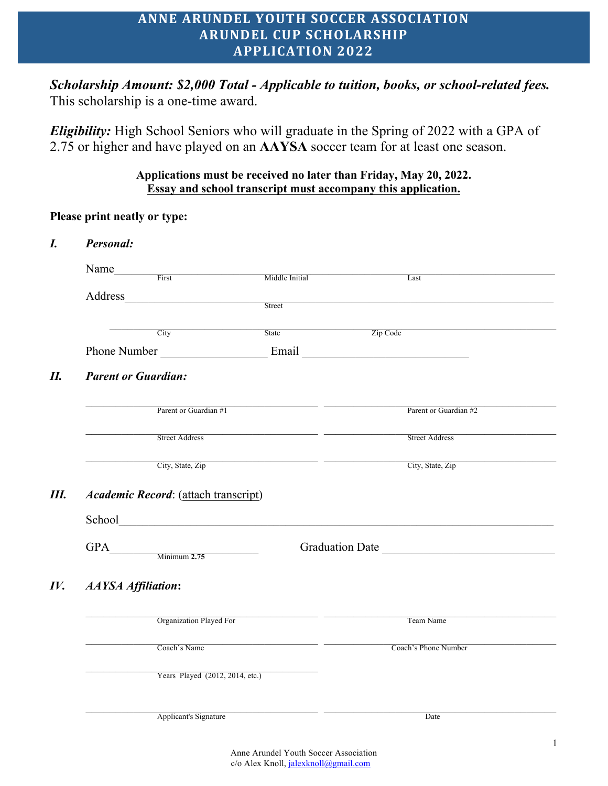# **ANNE ARUNDEL YOUTH SOCCER ASSOCIATION ARUNDEL CUP SCHOLARSHIP APPLICATION 2022**

*Scholarship Amount: \$2,000 Total - Applicable to tuition, books, or school-related fees.*  This scholarship is a one-time award.

*Eligibility:* High School Seniors who will graduate in the Spring of 2022 with a GPA of 2.75 or higher and have played on an **AAYSA** soccer team for at least one season.

#### **Applications must be received no later than Friday, May 20, 2022. Essay and school transcript must accompany this application.**

**Please print neatly or type:**

|                            | Name <u>First</u>                    |                                                           |                       |
|----------------------------|--------------------------------------|-----------------------------------------------------------|-----------------------|
|                            |                                      | Middle Initial                                            | Last                  |
|                            |                                      | Street                                                    |                       |
|                            |                                      |                                                           |                       |
|                            | $\overline{\text{City}}$             | State                                                     | Zip Code              |
|                            |                                      |                                                           |                       |
| <b>Parent or Guardian:</b> |                                      |                                                           |                       |
|                            |                                      |                                                           |                       |
|                            | Parent or Guardian #1                |                                                           | Parent or Guardian #2 |
|                            | <b>Street Address</b>                | <u> 1989 - Jan James James, politik fizikar (h. 1989)</u> | <b>Street Address</b> |
|                            |                                      |                                                           |                       |
|                            | Academic Record: (attach transcript) | City, State, Zip                                          | City, State, Zip      |
|                            |                                      |                                                           |                       |
|                            |                                      |                                                           |                       |
|                            | $GPA$ Minimum 2.75                   |                                                           |                       |
|                            |                                      |                                                           |                       |
|                            |                                      | <u> 1989 - Johann Barbara, martx</u>                      |                       |
|                            | Organization Played For              |                                                           | Team Name             |
|                            | Coach's Name                         |                                                           | Coach's Phone Number  |
| <b>AAYSA Affiliation:</b>  | Years Played (2012, 2014, etc.)      |                                                           | Graduation Date       |
|                            |                                      |                                                           |                       |